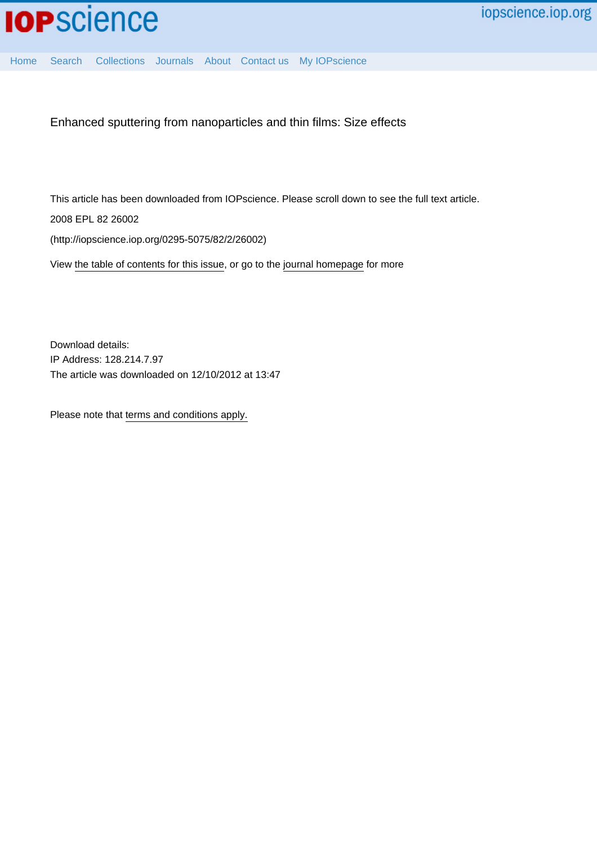

[Home](http://iopscience.iop.org/) [Search](http://iopscience.iop.org/search) [Collections](http://iopscience.iop.org/collections) [Journals](http://iopscience.iop.org/journals) [About](http://iopscience.iop.org/page/aboutioppublishing) [Contact us](http://iopscience.iop.org/contact) [My IOPscience](http://iopscience.iop.org/myiopscience)

Enhanced sputtering from nanoparticles and thin films: Size effects

This article has been downloaded from IOPscience. Please scroll down to see the full text article.

2008 EPL 82 26002

(http://iopscience.iop.org/0295-5075/82/2/26002)

View [the table of contents for this issue](http://iopscience.iop.org/0295-5075/82/2), or go to the [journal homepage](http://iopscience.iop.org/0295-5075) for more

Download details: IP Address: 128.214.7.97 The article was downloaded on 12/10/2012 at 13:47

Please note that [terms and conditions apply.](http://iopscience.iop.org/page/terms)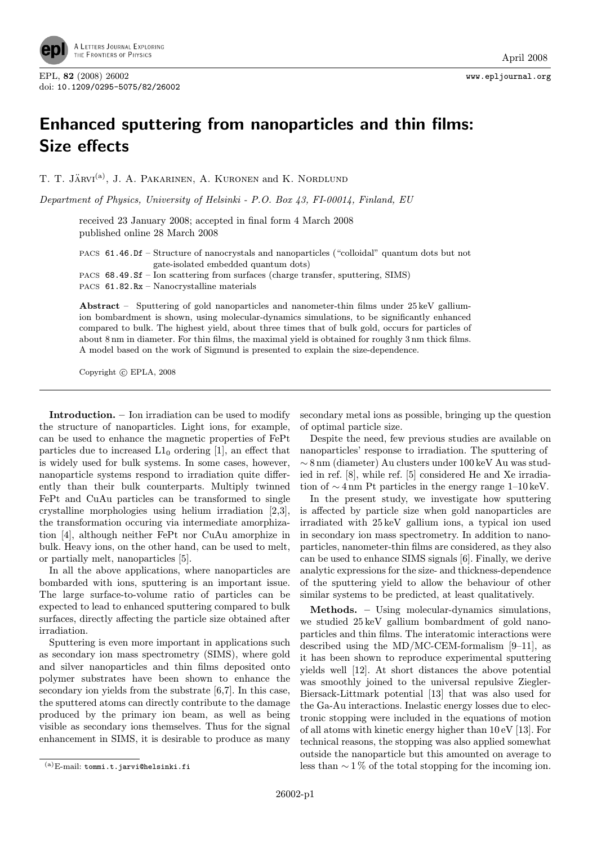

## Enhanced sputtering from nanoparticles and thin films: Size effects

T. T. JÄRVI<sup>(a)</sup>, J. A. PAKARINEN, A. KURONEN and K. NORDLUND

Department of Physics, University of Helsinki - P.O. Box 43, FI-00014, Finland, EU

received 23 January 2008; accepted in final form 4 March 2008 published online 28 March 2008

PACS 61.46.Df – Structure of nanocrystals and nanoparticles ("colloidal" quantum dots but not gate-isolated embedded quantum dots)

PACS 68.49.Sf – Ion scattering from surfaces (charge transfer, sputtering, SIMS) PACS 61.82.Rx – Nanocrystalline materials

Abstract – Sputtering of gold nanoparticles and nanometer-thin films under 25 keV galliumion bombardment is shown, using molecular-dynamics simulations, to be significantly enhanced compared to bulk. The highest yield, about three times that of bulk gold, occurs for particles of about 8 nm in diameter. For thin films, the maximal yield is obtained for roughly 3 nm thick films. A model based on the work of Sigmund is presented to explain the size-dependence.

Copyright  $\odot$  EPLA, 2008

Introduction. – Ion irradiation can be used to modify the structure of nanoparticles. Light ions, for example, can be used to enhance the magnetic properties of FePt particles due to increased  $L1_0$  ordering [1], an effect that is widely used for bulk systems. In some cases, however, nanoparticle systems respond to irradiation quite differently than their bulk counterparts. Multiply twinned FePt and CuAu particles can be transformed to single crystalline morphologies using helium irradiation [2,3], the transformation occuring via intermediate amorphization [4], although neither FePt nor CuAu amorphize in bulk. Heavy ions, on the other hand, can be used to melt, or partially melt, nanoparticles [5].

In all the above applications, where nanoparticles are bombarded with ions, sputtering is an important issue. The large surface-to-volume ratio of particles can be expected to lead to enhanced sputtering compared to bulk surfaces, directly affecting the particle size obtained after irradiation.

Sputtering is even more important in applications such as secondary ion mass spectrometry (SIMS), where gold and silver nanoparticles and thin films deposited onto polymer substrates have been shown to enhance the secondary ion yields from the substrate [6,7]. In this case, the sputtered atoms can directly contribute to the damage produced by the primary ion beam, as well as being visible as secondary ions themselves. Thus for the signal enhancement in SIMS, it is desirable to produce as many

secondary metal ions as possible, bringing up the question of optimal particle size.

Despite the need, few previous studies are available on nanoparticles' response to irradiation. The sputtering of ∼ 8 nm (diameter) Au clusters under 100 keV Au was studied in ref. [8], while ref. [5] considered He and Xe irradiation of  $\sim$  4 nm Pt particles in the energy range 1–10 keV.

In the present study, we investigate how sputtering is affected by particle size when gold nanoparticles are irradiated with 25 keV gallium ions, a typical ion used in secondary ion mass spectrometry. In addition to nanoparticles, nanometer-thin films are considered, as they also can be used to enhance SIMS signals [6]. Finally, we derive analytic expressions for the size- and thickness-dependence of the sputtering yield to allow the behaviour of other similar systems to be predicted, at least qualitatively.

Methods. – Using molecular-dynamics simulations, we studied 25 keV gallium bombardment of gold nanoparticles and thin films. The interatomic interactions were described using the MD/MC-CEM-formalism [9–11], as it has been shown to reproduce experimental sputtering yields well [12]. At short distances the above potential was smoothly joined to the universal repulsive Ziegler-Biersack-Littmark potential [13] that was also used for the Ga-Au interactions. Inelastic energy losses due to electronic stopping were included in the equations of motion of all atoms with kinetic energy higher than 10 eV [13]. For technical reasons, the stopping was also applied somewhat outside the nanoparticle but this amounted on average to less than  $\sim$  1% of the total stopping for the incoming ion.

<sup>(</sup>a)E-mail: tommi.t.jarvi@helsinki.fi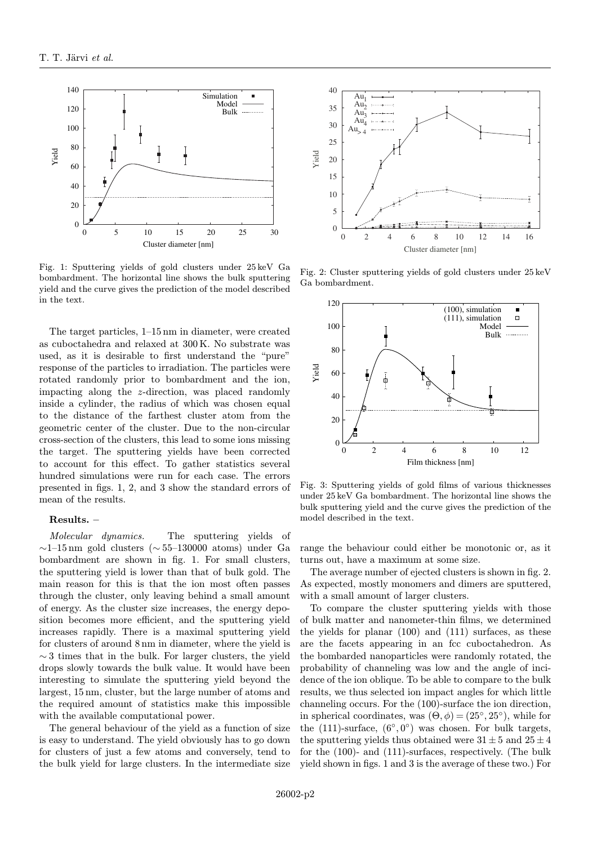

Fig. 1: Sputtering yields of gold clusters under 25 keV Ga bombardment. The horizontal line shows the bulk sputtering yield and the curve gives the prediction of the model described in the text.

The target particles, 1–15 nm in diameter, were created as cuboctahedra and relaxed at 300 K. No substrate was used, as it is desirable to first understand the "pure" response of the particles to irradiation. The particles were rotated randomly prior to bombardment and the ion, impacting along the z-direction, was placed randomly inside a cylinder, the radius of which was chosen equal to the distance of the farthest cluster atom from the geometric center of the cluster. Due to the non-circular cross-section of the clusters, this lead to some ions missing the target. The sputtering yields have been corrected to account for this effect. To gather statistics several hundred simulations were run for each case. The errors presented in figs. 1, 2, and 3 show the standard errors of mean of the results.

## Results. –

Molecular dynamics. The sputtering yields of ∼1–15 nm gold clusters (∼ 55–130000 atoms) under Ga bombardment are shown in fig. 1. For small clusters, the sputtering yield is lower than that of bulk gold. The main reason for this is that the ion most often passes through the cluster, only leaving behind a small amount of energy. As the cluster size increases, the energy deposition becomes more efficient, and the sputtering yield increases rapidly. There is a maximal sputtering yield for clusters of around 8 nm in diameter, where the yield is  $\sim$  3 times that in the bulk. For larger clusters, the yield drops slowly towards the bulk value. It would have been interesting to simulate the sputtering yield beyond the largest, 15 nm, cluster, but the large number of atoms and the required amount of statistics make this impossible with the available computational power.

The general behaviour of the yield as a function of size is easy to understand. The yield obviously has to go down for clusters of just a few atoms and conversely, tend to the bulk yield for large clusters. In the intermediate size



Fig. 2: Cluster sputtering yields of gold clusters under 25 keV Ga bombardment.



Fig. 3: Sputtering yields of gold films of various thicknesses under 25 keV Ga bombardment. The horizontal line shows the bulk sputtering yield and the curve gives the prediction of the model described in the text.

range the behaviour could either be monotonic or, as it turns out, have a maximum at some size.

The average number of ejected clusters is shown in fig. 2. As expected, mostly monomers and dimers are sputtered, with a small amount of larger clusters.

To compare the cluster sputtering yields with those of bulk matter and nanometer-thin films, we determined the yields for planar (100) and (111) surfaces, as these are the facets appearing in an fcc cuboctahedron. As the bombarded nanoparticles were randomly rotated, the probability of channeling was low and the angle of incidence of the ion oblique. To be able to compare to the bulk results, we thus selected ion impact angles for which little channeling occurs. For the (100)-surface the ion direction, in spherical coordinates, was  $(\Theta, \phi) = (25^{\circ}, 25^{\circ})$ , while for the (111)-surface,  $(6°, 0°)$  was chosen. For bulk targets, the sputtering yields thus obtained were  $31 \pm 5$  and  $25 \pm 4$ for the (100)- and (111)-surfaces, respectively. (The bulk yield shown in figs. 1 and 3 is the average of these two.) For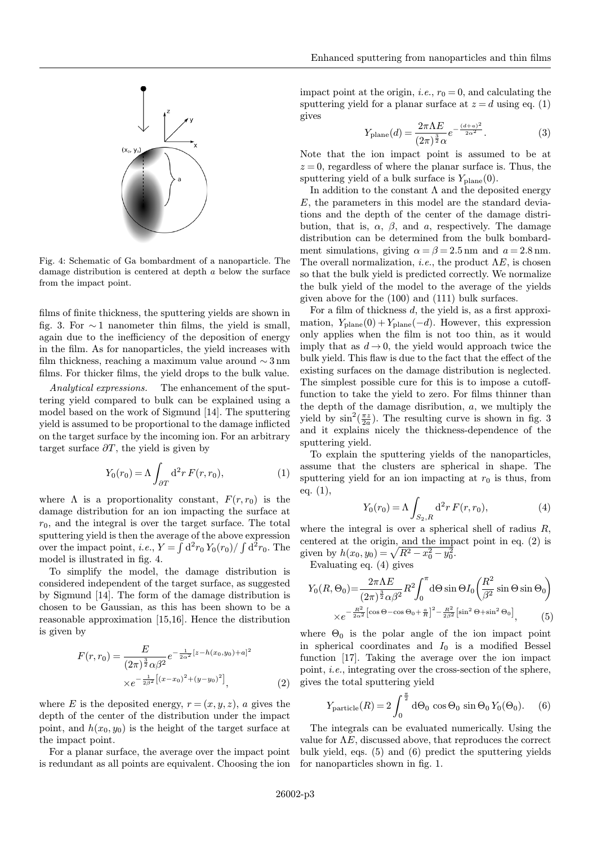

Fig. 4: Schematic of Ga bombardment of a nanoparticle. The damage distribution is centered at depth a below the surface from the impact point.

films of finite thickness, the sputtering yields are shown in fig. 3. For  $\sim$  1 nanometer thin films, the yield is small, again due to the inefficiency of the deposition of energy in the film. As for nanoparticles, the yield increases with film thickness, reaching a maximum value around ∼ 3 nm films. For thicker films, the yield drops to the bulk value.

Analytical expressions. The enhancement of the sputtering yield compared to bulk can be explained using a model based on the work of Sigmund [14]. The sputtering yield is assumed to be proportional to the damage inflicted on the target surface by the incoming ion. For an arbitrary target surface  $\partial T$ , the yield is given by

$$
Y_0(r_0) = \Lambda \int_{\partial T} d^2 r F(r, r_0), \qquad (1)
$$

where  $\Lambda$  is a proportionality constant,  $F(r, r_0)$  is the damage distribution for an ion impacting the surface at  $r_0$ , and the integral is over the target surface. The total sputtering yield is then the average of the above expression over the impact point, *i.e.*,  $Y = \int d^2r_0 Y_0(r_0)/\int d^2r_0$ . The model is illustrated in fig. 4.

To simplify the model, the damage distribution is considered independent of the target surface, as suggested by Sigmund [14]. The form of the damage distribution is chosen to be Gaussian, as this has been shown to be a reasonable approximation [15,16]. Hence the distribution is given by

$$
F(r,r_0) = \frac{E}{(2\pi)^{\frac{3}{2}}\alpha\beta^2}e^{-\frac{1}{2\alpha^2}[z-h(x_0,y_0)+a]^2}
$$

$$
\times e^{-\frac{1}{2\beta^2}[(x-x_0)^2+(y-y_0)^2]}, \qquad (2)
$$

where E is the deposited energy,  $r = (x, y, z)$ , a gives the depth of the center of the distribution under the impact point, and  $h(x_0, y_0)$  is the height of the target surface at the impact point.

For a planar surface, the average over the impact point is redundant as all points are equivalent. Choosing the ion

impact point at the origin, *i.e.*,  $r_0 = 0$ , and calculating the sputtering yield for a planar surface at  $z = d$  using eq. (1) gives

$$
Y_{\text{plane}}(d) = \frac{2\pi\Lambda E}{(2\pi)^{\frac{3}{2}}\alpha}e^{-\frac{(d+a)^2}{2\alpha^2}}.
$$
 (3)

Note that the ion impact point is assumed to be at  $z = 0$ , regardless of where the planar surface is. Thus, the sputtering yield of a bulk surface is  $Y_{\text{plane}}(0)$ .

In addition to the constant  $\Lambda$  and the deposited energy  $E$ , the parameters in this model are the standard deviations and the depth of the center of the damage distribution, that is,  $\alpha$ ,  $\beta$ , and  $\alpha$ , respectively. The damage distribution can be determined from the bulk bombardment simulations, giving  $\alpha = \beta = 2.5$  nm and  $a = 2.8$  nm. The overall normalization, *i.e.*, the product  $\Lambda E$ , is chosen so that the bulk yield is predicted correctly. We normalize the bulk yield of the model to the average of the yields given above for the (100) and (111) bulk surfaces.

For a film of thickness d, the yield is, as a first approximation,  $Y_{\text{plane}}(0) + Y_{\text{plane}}(-d)$ . However, this expression only applies when the film is not too thin, as it would imply that as  $d \rightarrow 0$ , the yield would approach twice the bulk yield. This flaw is due to the fact that the effect of the existing surfaces on the damage distribution is neglected. The simplest possible cure for this is to impose a cutofffunction to take the yield to zero. For films thinner than the depth of the damage disribution, a, we multiply the yield by  $\sin^2(\frac{\pi z}{2a})$ . The resulting curve is shown in fig. 3 and it explains nicely the thickness-dependence of the sputtering yield.

To explain the sputtering yields of the nanoparticles, assume that the clusters are spherical in shape. The sputtering yield for an ion impacting at  $r_0$  is thus, from eq. (1),

$$
Y_0(r_0) = \Lambda \int_{S_2, R} d^2 r F(r, r_0), \tag{4}
$$

where the integral is over a spherical shell of radius  $R$ , centered at the origin, and the impact point in eq. (2) is given by  $h(x_0, y_0) = \sqrt{R^2 - x_0^2 - y_0^2}$ .

Evaluating eq. (4) gives

$$
Y_0(R, \Theta_0) = \frac{2\pi\Lambda E}{(2\pi)^{\frac{3}{2}}\alpha\beta^2} R^2 \int_0^{\pi} d\Theta \sin\Theta I_0 \left(\frac{R^2}{\beta^2} \sin\Theta \sin\Theta_0\right)
$$
  
 
$$
\times e^{-\frac{R^2}{2\alpha^2} \left[\cos\Theta - \cos\Theta_0 + \frac{a}{R}\right]^2 - \frac{R^2}{2\beta^2} \left[\sin^2\Theta + \sin^2\Theta_0\right]},
$$
 (5)

where  $\Theta_0$  is the polar angle of the ion impact point in spherical coordinates and  $I_0$  is a modified Bessel function [17]. Taking the average over the ion impact point, i.e., integrating over the cross-section of the sphere, gives the total sputtering yield

$$
Y_{\text{particle}}(R) = 2 \int_0^{\frac{\pi}{2}} d\Theta_0 \cos \Theta_0 \sin \Theta_0 Y_0(\Theta_0). \quad (6)
$$

The integrals can be evaluated numerically. Using the value for  $\Lambda E$ , discussed above, that reproduces the correct bulk yield, eqs. (5) and (6) predict the sputtering yields for nanoparticles shown in fig. 1.